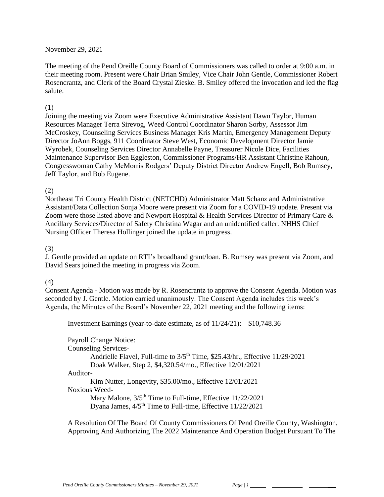#### November 29, 2021

The meeting of the Pend Oreille County Board of Commissioners was called to order at 9:00 a.m. in their meeting room. Present were Chair Brian Smiley, Vice Chair John Gentle, Commissioner Robert Rosencrantz, and Clerk of the Board Crystal Zieske. B. Smiley offered the invocation and led the flag salute.

#### (1)

Joining the meeting via Zoom were Executive Administrative Assistant Dawn Taylor, Human Resources Manager Terra Sirevog, Weed Control Coordinator Sharon Sorby, Assessor Jim McCroskey, Counseling Services Business Manager Kris Martin, Emergency Management Deputy Director JoAnn Boggs, 911 Coordinator Steve West, Economic Development Director Jamie Wyrobek, Counseling Services Director Annabelle Payne, Treasurer Nicole Dice, Facilities Maintenance Supervisor Ben Eggleston, Commissioner Programs/HR Assistant Christine Rahoun, Congresswoman Cathy McMorris Rodgers' Deputy District Director Andrew Engell, Bob Rumsey, Jeff Taylor, and Bob Eugene.

#### (2)

Northeast Tri County Health District (NETCHD) Administrator Matt Schanz and Administrative Assistant/Data Collection Sonja Moore were present via Zoom for a COVID-19 update. Present via Zoom were those listed above and Newport Hospital & Health Services Director of Primary Care & Ancillary Services**/**Director of Safety Christina Wagar and an unidentified caller. NHHS Chief Nursing Officer Theresa Hollinger joined the update in progress.

#### (3)

J. Gentle provided an update on RTI's broadband grant/loan. B. Rumsey was present via Zoom, and David Sears joined the meeting in progress via Zoom.

### (4)

Consent Agenda - Motion was made by R. Rosencrantz to approve the Consent Agenda. Motion was seconded by J. Gentle. Motion carried unanimously. The Consent Agenda includes this week's Agenda, the Minutes of the Board's November 22, 2021 meeting and the following items:

Investment Earnings (year-to-date estimate, as of 11/24/21): \$10,748.36

Payroll Change Notice: Counseling Services-Andrielle Flavel, Full-time to  $3/5<sup>th</sup>$  Time, \$25.43/hr., Effective  $11/29/2021$ Doak Walker, Step 2, \$4,320.54/mo., Effective 12/01/2021 Auditor-Kim Nutter, Longevity, \$35.00/mo., Effective 12/01/2021 Noxious Weed-Mary Malone,  $3/5<sup>th</sup>$  Time to Full-time, Effective 11/22/2021 Dyana James,  $4/5<sup>th</sup>$  Time to Full-time, Effective  $11/22/2021$ 

A Resolution Of The Board Of County Commissioners Of Pend Oreille County, Washington, Approving And Authorizing The 2022 Maintenance And Operation Budget Pursuant To The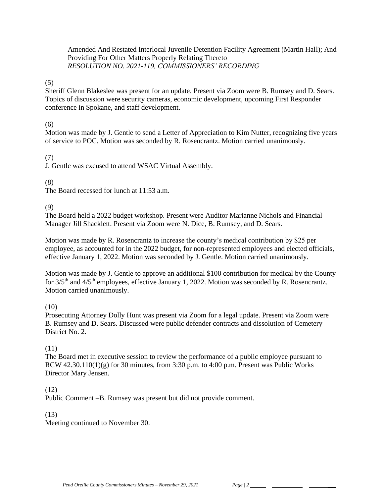Amended And Restated Interlocal Juvenile Detention Facility Agreement (Martin Hall); And Providing For Other Matters Properly Relating Thereto *RESOLUTION NO. 2021-119, COMMISSIONERS' RECORDING* 

### (5)

Sheriff Glenn Blakeslee was present for an update. Present via Zoom were B. Rumsey and D. Sears. Topics of discussion were security cameras, economic development, upcoming First Responder conference in Spokane, and staff development.

### (6)

Motion was made by J. Gentle to send a Letter of Appreciation to Kim Nutter, recognizing five years of service to POC. Motion was seconded by R. Rosencrantz. Motion carried unanimously.

# (7)

J. Gentle was excused to attend WSAC Virtual Assembly.

### (8)

The Board recessed for lunch at 11:53 a.m.

(9)

The Board held a 2022 budget workshop. Present were Auditor Marianne Nichols and Financial Manager Jill Shacklett. Present via Zoom were N. Dice, B. Rumsey, and D. Sears.

Motion was made by R. Rosencrantz to increase the county's medical contribution by \$25 per employee, as accounted for in the 2022 budget, for non-represented employees and elected officials, effective January 1, 2022. Motion was seconded by J. Gentle. Motion carried unanimously.

Motion was made by J. Gentle to approve an additional \$100 contribution for medical by the County for  $3/5<sup>th</sup>$  and  $4/5<sup>th</sup>$  employees, effective January 1, 2022. Motion was seconded by R. Rosencrantz. Motion carried unanimously.

### (10)

Prosecuting Attorney Dolly Hunt was present via Zoom for a legal update. Present via Zoom were B. Rumsey and D. Sears. Discussed were public defender contracts and dissolution of Cemetery District No. 2.

# (11)

The Board met in executive session to review the performance of a public employee pursuant to RCW  $42.30.110(1)(g)$  for 30 minutes, from 3:30 p.m. to 4:00 p.m. Present was Public Works Director Mary Jensen.

### (12)

Public Comment –B. Rumsey was present but did not provide comment.

### (13)

Meeting continued to November 30.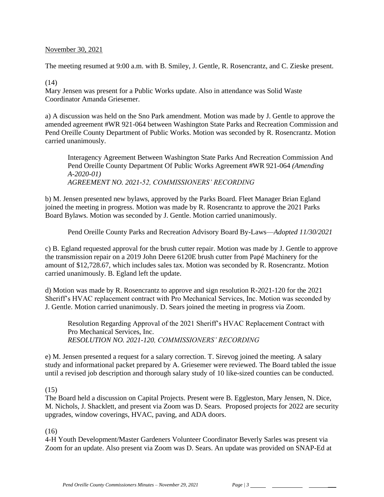#### November 30, 2021

The meeting resumed at 9:00 a.m. with B. Smiley, J. Gentle, R. Rosencrantz, and C. Zieske present.

#### (14)

Mary Jensen was present for a Public Works update. Also in attendance was Solid Waste Coordinator Amanda Griesemer.

a) A discussion was held on the Sno Park amendment. Motion was made by J. Gentle to approve the amended agreement #WR 921-064 between Washington State Parks and Recreation Commission and Pend Oreille County Department of Public Works. Motion was seconded by R. Rosencrantz. Motion carried unanimously.

Interagency Agreement Between Washington State Parks And Recreation Commission And Pend Oreille County Department Of Public Works Agreement #WR 921-064 *(Amending A-2020-01) AGREEMENT NO. 2021-52, COMMISSIONERS' RECORDING*

b) M. Jensen presented new bylaws, approved by the Parks Board. Fleet Manager Brian Egland joined the meeting in progress. Motion was made by R. Rosencrantz to approve the 2021 Parks Board Bylaws. Motion was seconded by J. Gentle. Motion carried unanimously.

Pend Oreille County Parks and Recreation Advisory Board By-Laws—*Adopted 11/30/2021*

c) B. Egland requested approval for the brush cutter repair. Motion was made by J. Gentle to approve the transmission repair on a 2019 John Deere 6120E brush cutter from Papé Machinery for the amount of \$12,728.67, which includes sales tax. Motion was seconded by R. Rosencrantz. Motion carried unanimously. B. Egland left the update.

d) Motion was made by R. Rosencrantz to approve and sign resolution R-2021-120 for the 2021 Sheriff's HVAC replacement contract with Pro Mechanical Services, Inc. Motion was seconded by J. Gentle. Motion carried unanimously. D. Sears joined the meeting in progress via Zoom.

Resolution Regarding Approval of the 2021 Sheriff's HVAC Replacement Contract with Pro Mechanical Services, Inc. *RESOLUTION NO. 2021-120, COMMISSIONERS' RECORDING* 

e) M. Jensen presented a request for a salary correction. T. Sirevog joined the meeting. A salary study and informational packet prepared by A. Griesemer were reviewed. The Board tabled the issue until a revised job description and thorough salary study of 10 like-sized counties can be conducted.

### (15)

The Board held a discussion on Capital Projects. Present were B. Eggleston, Mary Jensen, N. Dice, M. Nichols, J. Shacklett, and present via Zoom was D. Sears. Proposed projects for 2022 are security upgrades, window coverings, HVAC, paving, and ADA doors.

### (16)

4-H Youth Development/Master Gardeners Volunteer Coordinator Beverly Sarles was present via Zoom for an update. Also present via Zoom was D. Sears. An update was provided on SNAP-Ed at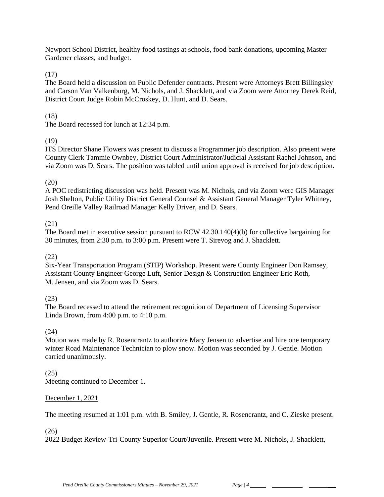Newport School District, healthy food tastings at schools, food bank donations, upcoming Master Gardener classes, and budget.

(17)

The Board held a discussion on Public Defender contracts. Present were Attorneys Brett Billingsley and Carson Van Valkenburg, M. Nichols, and J. Shacklett, and via Zoom were Attorney Derek Reid, District Court Judge Robin McCroskey, D. Hunt, and D. Sears.

(18)

The Board recessed for lunch at 12:34 p.m.

## (19)

ITS Director Shane Flowers was present to discuss a Programmer job description. Also present were County Clerk Tammie Ownbey, District Court Administrator/Judicial Assistant Rachel Johnson, and via Zoom was D. Sears. The position was tabled until union approval is received for job description.

### (20)

A POC redistricting discussion was held. Present was M. Nichols, and via Zoom were GIS Manager Josh Shelton, Public Utility District General Counsel & Assistant General Manager Tyler Whitney, Pend Oreille Valley Railroad Manager Kelly Driver, and D. Sears.

## (21)

The Board met in executive session pursuant to RCW 42.30.140(4)(b) for collective bargaining for 30 minutes, from 2:30 p.m. to 3:00 p.m. Present were T. Sirevog and J. Shacklett.

### (22)

Six-Year Transportation Program (STIP) Workshop. Present were County Engineer Don Ramsey, Assistant County Engineer George Luft, Senior Design & Construction Engineer Eric Roth, M. Jensen, and via Zoom was D. Sears.

### (23)

The Board recessed to attend the retirement recognition of Department of Licensing Supervisor Linda Brown, from 4:00 p.m. to 4:10 p.m.

### (24)

Motion was made by R. Rosencrantz to authorize Mary Jensen to advertise and hire one temporary winter Road Maintenance Technician to plow snow. Motion was seconded by J. Gentle. Motion carried unanimously.

### (25)

Meeting continued to December 1.

### December 1, 2021

The meeting resumed at 1:01 p.m. with B. Smiley, J. Gentle, R. Rosencrantz, and C. Zieske present.

### (26)

2022 Budget Review-Tri-County Superior Court/Juvenile. Present were M. Nichols, J. Shacklett,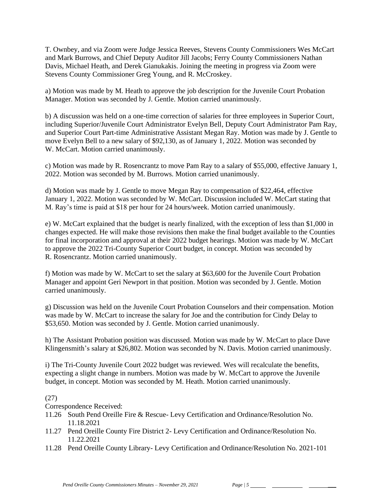T. Ownbey, and via Zoom were Judge Jessica Reeves, Stevens County Commissioners Wes McCart and Mark Burrows, and Chief Deputy Auditor Jill Jacobs; Ferry County Commissioners Nathan Davis, Michael Heath, and Derek Gianukakis. Joining the meeting in progress via Zoom were Stevens County Commissioner Greg Young, and R. McCroskey.

a) Motion was made by M. Heath to approve the job description for the Juvenile Court Probation Manager. Motion was seconded by J. Gentle. Motion carried unanimously.

b) A discussion was held on a one-time correction of salaries for three employees in Superior Court, including Superior/Juvenile Court Administrator Evelyn Bell, Deputy Court Administrator Pam Ray, and Superior Court Part-time Administrative Assistant Megan Ray. Motion was made by J. Gentle to move Evelyn Bell to a new salary of \$92,130, as of January 1, 2022. Motion was seconded by W. McCart. Motion carried unanimously.

c) Motion was made by R. Rosencrantz to move Pam Ray to a salary of \$55,000, effective January 1, 2022. Motion was seconded by M. Burrows. Motion carried unanimously.

d) Motion was made by J. Gentle to move Megan Ray to compensation of \$22,464, effective January 1, 2022. Motion was seconded by W. McCart. Discussion included W. McCart stating that M. Ray's time is paid at \$18 per hour for 24 hours/week. Motion carried unanimously.

e) W. McCart explained that the budget is nearly finalized, with the exception of less than \$1,000 in changes expected. He will make those revisions then make the final budget available to the Counties for final incorporation and approval at their 2022 budget hearings. Motion was made by W. McCart to approve the 2022 Tri-County Superior Court budget, in concept. Motion was seconded by R. Rosencrantz. Motion carried unanimously.

f) Motion was made by W. McCart to set the salary at \$63,600 for the Juvenile Court Probation Manager and appoint Geri Newport in that position. Motion was seconded by J. Gentle. Motion carried unanimously.

g) Discussion was held on the Juvenile Court Probation Counselors and their compensation. Motion was made by W. McCart to increase the salary for Joe and the contribution for Cindy Delay to \$53,650. Motion was seconded by J. Gentle. Motion carried unanimously.

h) The Assistant Probation position was discussed. Motion was made by W. McCart to place Dave Klingensmith's salary at \$26,802. Motion was seconded by N. Davis. Motion carried unanimously.

i) The Tri-County Juvenile Court 2022 budget was reviewed. Wes will recalculate the benefits, expecting a slight change in numbers. Motion was made by W. McCart to approve the Juvenile budget, in concept. Motion was seconded by M. Heath. Motion carried unanimously.

### (27)

Correspondence Received:

- 11.26 South Pend Oreille Fire & Rescue- Levy Certification and Ordinance/Resolution No. 11.18.2021
- 11.27 Pend Oreille County Fire District 2- Levy Certification and Ordinance/Resolution No. 11.22.2021
- 11.28 Pend Oreille County Library- Levy Certification and Ordinance/Resolution No. 2021-101